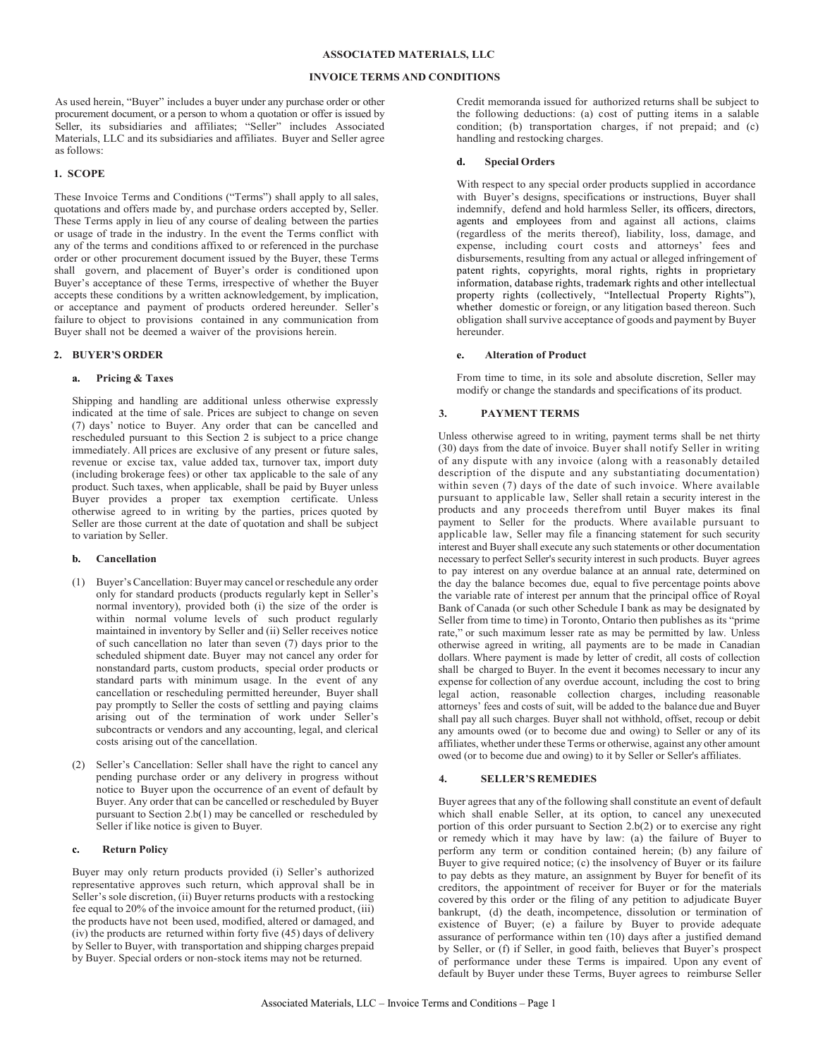#### **ASSOCIATED MATERIALS, LLC**

#### **INVOICE TERMS AND CONDITIONS**

As used herein, "Buyer" includes a buyer under any purchase order or other procurement document, or a person to whom a quotation or offer is issued by Seller, its subsidiaries and affiliates; "Seller" includes Associated Materials, LLC and its subsidiaries and affiliates. Buyer and Seller agree as follows:

### **1. SCOPE**

These Invoice Terms and Conditions ("Terms") shall apply to all sales, quotations and offers made by, and purchase orders accepted by, Seller. These Terms apply in lieu of any course of dealing between the parties or usage of trade in the industry. In the event the Terms conflict with any of the terms and conditions affixed to or referenced in the purchase order or other procurement document issued by the Buyer, these Terms shall govern, and placement of Buyer's order is conditioned upon Buyer's acceptance of these Terms, irrespective of whether the Buyer accepts these conditions by a written acknowledgement, by implication, or acceptance and payment of products ordered hereunder. Seller's failure to object to provisions contained in any communication from Buyer shall not be deemed a waiver of the provisions herein.

### **2. BUYER'S ORDER**

### **a. Pricing & Taxes**

Shipping and handling are additional unless otherwise expressly indicated at the time of sale. Prices are subject to change on seven (7) days' notice to Buyer. Any order that can be cancelled and rescheduled pursuant to this Section 2 is subject to a price change immediately. All prices are exclusive of any present or future sales, revenue or excise tax, value added tax, turnover tax, import duty (including brokerage fees) or other tax applicable to the sale of any product. Such taxes, when applicable, shall be paid by Buyer unless Buyer provides a proper tax exemption certificate. Unless otherwise agreed to in writing by the parties, prices quoted by Seller are those current at the date of quotation and shall be subject to variation by Seller.

#### **b. Cancellation**

- (1) Buyer'sCancellation: Buyer may cancel or reschedule any order only for standard products (products regularly kept in Seller's normal inventory), provided both (i) the size of the order is within normal volume levels of such product regularly maintained in inventory by Seller and (ii) Seller receives notice of such cancellation no later than seven (7) days prior to the scheduled shipment date. Buyer may not cancel any order for nonstandard parts, custom products, special order products or standard parts with minimum usage. In the event of any cancellation or rescheduling permitted hereunder, Buyer shall pay promptly to Seller the costs of settling and paying claims arising out of the termination of work under Seller's subcontracts or vendors and any accounting, legal, and clerical costs arising out of the cancellation.
- (2) Seller's Cancellation: Seller shall have the right to cancel any pending purchase order or any delivery in progress without notice to Buyer upon the occurrence of an event of default by Buyer. Any order that can be cancelled or rescheduled by Buyer pursuant to Section 2.b(1) may be cancelled or rescheduled by Seller if like notice is given to Buyer.

#### **c. Return Policy**

Buyer may only return products provided (i) Seller's authorized representative approves such return, which approval shall be in Seller's sole discretion, (ii) Buyer returns products with a restocking fee equal to 20% of the invoice amount for the returned product, (iii) the products have not been used, modified, altered or damaged, and (iv) the products are returned within forty five (45) days of delivery by Seller to Buyer, with transportation and shipping charges prepaid by Buyer. Special orders or non-stock items may not be returned.

Credit memoranda issued for authorized returns shall be subject to the following deductions: (a) cost of putting items in a salable condition; (b) transportation charges, if not prepaid; and (c) handling and restocking charges.

#### **d. Special Orders**

With respect to any special order products supplied in accordance with Buyer's designs, specifications or instructions, Buyer shall indemnify, defend and hold harmless Seller, its officers, directors, agents and employees from and against all actions, claims (regardless of the merits thereof), liability, loss, damage, and expense, including court costs and attorneys' fees and disbursements, resulting from any actual or alleged infringement of patent rights, copyrights, moral rights, rights in proprietary information, database rights, trademark rights and other intellectual property rights (collectively, "Intellectual Property Rights"), whether domestic or foreign, or any litigation based thereon. Such obligation shall survive acceptance of goods and payment by Buyer hereunder.

#### **e. Alteration of Product**

From time to time, in its sole and absolute discretion, Seller may modify or change the standards and specifications of its product.

#### **3. PAYMENT TERMS**

Unless otherwise agreed to in writing, payment terms shall be net thirty (30) days from the date of invoice. Buyer shall notify Seller in writing of any dispute with any invoice (along with a reasonably detailed description of the dispute and any substantiating documentation) within seven (7) days of the date of such invoice. Where available pursuant to applicable law, Seller shall retain a security interest in the products and any proceeds therefrom until Buyer makes its final payment to Seller for the products. Where available pursuant to applicable law, Seller may file a financing statement for such security interest and Buyer shall execute any such statements or other documentation necessary to perfect Seller's security interest in such products. Buyer agrees to pay interest on any overdue balance at an annual rate, determined on the day the balance becomes due, equal to five percentage points above the variable rate of interest per annum that the principal office of Royal Bank of Canada (or such other Schedule I bank as may be designated by Seller from time to time) in Toronto, Ontario then publishes as its "prime rate," or such maximum lesser rate as may be permitted by law. Unless otherwise agreed in writing, all payments are to be made in Canadian dollars. Where payment is made by letter of credit, all costs of collection shall be charged to Buyer. In the event it becomes necessary to incur any expense for collection of any overdue account, including the cost to bring legal action, reasonable collection charges, including reasonable attorneys' fees and costs of suit, will be added to the balance due and Buyer shall pay all such charges. Buyer shall not withhold, offset, recoup or debit any amounts owed (or to become due and owing) to Seller or any of its affiliates, whether under these Terms or otherwise, against any other amount owed (or to become due and owing) to it by Seller or Seller's affiliates.

#### **4. SELLER'S REMEDIES**

Buyer agrees that any of the following shall constitute an event of default which shall enable Seller, at its option, to cancel any unexecuted portion of this order pursuant to Section 2.b(2) or to exercise any right or remedy which it may have by law: (a) the failure of Buyer to perform any term or condition contained herein; (b) any failure of Buyer to give required notice; (c) the insolvency of Buyer or its failure to pay debts as they mature, an assignment by Buyer for benefit of its creditors, the appointment of receiver for Buyer or for the materials covered by this order or the filing of any petition to adjudicate Buyer bankrupt, (d) the death, incompetence, dissolution or termination of existence of Buyer; (e) a failure by Buyer to provide adequate assurance of performance within ten (10) days after a justified demand by Seller, or (f) if Seller, in good faith, believes that Buyer's prospect of performance under these Terms is impaired. Upon any event of default by Buyer under these Terms, Buyer agrees to reimburse Seller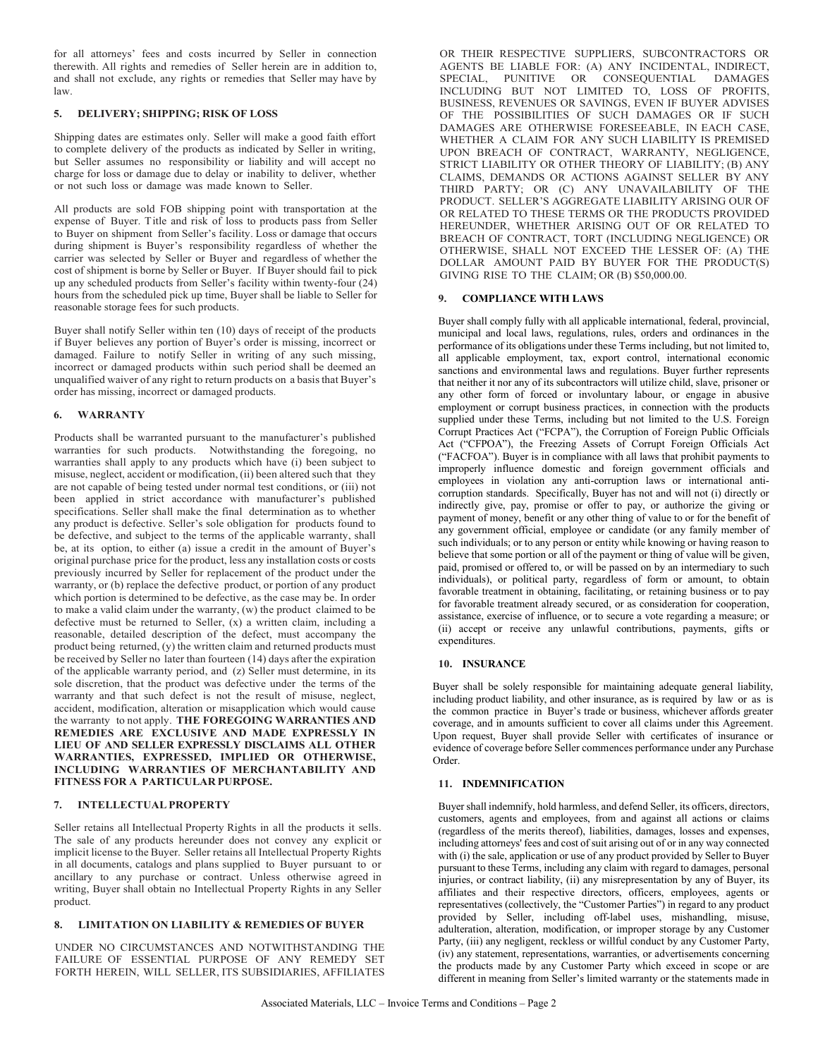for all attorneys' fees and costs incurred by Seller in connection therewith. All rights and remedies of Seller herein are in addition to, and shall not exclude, any rights or remedies that Seller may have by law.

## **5. DELIVERY; SHIPPING; RISK OF LOSS**

Shipping dates are estimates only. Seller will make a good faith effort to complete delivery of the products as indicated by Seller in writing, but Seller assumes no responsibility or liability and will accept no charge for loss or damage due to delay or inability to deliver, whether or not such loss or damage was made known to Seller.

All products are sold FOB shipping point with transportation at the expense of Buyer. Title and risk of loss to products pass from Seller to Buyer on shipment from Seller's facility. Loss or damage that occurs during shipment is Buyer's responsibility regardless of whether the carrier was selected by Seller or Buyer and regardless of whether the cost of shipment is borne by Seller or Buyer. If Buyer should fail to pick up any scheduled products from Seller's facility within twenty-four (24) hours from the scheduled pick up time, Buyer shall be liable to Seller for reasonable storage fees for such products.

Buyer shall notify Seller within ten (10) days of receipt of the products if Buyer believes any portion of Buyer's order is missing, incorrect or damaged. Failure to notify Seller in writing of any such missing, incorrect or damaged products within such period shall be deemed an unqualified waiver of any right to return products on a basisthat Buyer's order has missing, incorrect or damaged products.

## **6. WARRANTY**

Products shall be warranted pursuant to the manufacturer's published warranties for such products. Notwithstanding the foregoing, no warranties shall apply to any products which have (i) been subject to misuse, neglect, accident or modification, (ii) been altered such that they are not capable of being tested under normal test conditions, or (iii) not been applied in strict accordance with manufacturer's published specifications. Seller shall make the final determination as to whether any product is defective. Seller's sole obligation for products found to be defective, and subject to the terms of the applicable warranty, shall be, at its option, to either (a) issue a credit in the amount of Buyer's original purchase price for the product, less any installation costs or costs previously incurred by Seller for replacement of the product under the warranty, or (b) replace the defective product, or portion of any product which portion is determined to be defective, as the case may be. In order to make a valid claim under the warranty, (w) the product claimed to be defective must be returned to Seller, (x) a written claim, including a reasonable, detailed description of the defect, must accompany the product being returned, (y) the written claim and returned products must be received by Seller no later than fourteen (14) days after the expiration of the applicable warranty period, and (z) Seller must determine, in its sole discretion, that the product was defective under the terms of the warranty and that such defect is not the result of misuse, neglect, accident, modification, alteration or misapplication which would cause the warranty to not apply. **THE FOREGOING WARRANTIES AND REMEDIES ARE EXCLUSIVE AND MADE EXPRESSLY IN LIEU OF AND SELLER EXPRESSLY DISCLAIMS ALL OTHER WARRANTIES, EXPRESSED, IMPLIED OR OTHERWISE, INCLUDING WARRANTIES OF MERCHANTABILITY AND FITNESS FOR A PARTICULAR PURPOSE.**

### **7. INTELLECTUALPROPERTY**

Seller retains all Intellectual Property Rights in all the products it sells. The sale of any products hereunder does not convey any explicit or implicit license to the Buyer. Seller retains all Intellectual Property Rights in all documents, catalogs and plans supplied to Buyer pursuant to or ancillary to any purchase or contract. Unless otherwise agreed in writing, Buyer shall obtain no Intellectual Property Rights in any Seller product.

## **8. LIMITATION ON LIABILITY & REMEDIES OF BUYER**

UNDER NO CIRCUMSTANCES AND NOTWITHSTANDING THE FAILURE OF ESSENTIAL PURPOSE OF ANY REMEDY SET FORTH HEREIN, WILL SELLER, ITS SUBSIDIARIES, AFFILIATES OR THEIR RESPECTIVE SUPPLIERS, SUBCONTRACTORS OR AGENTS BE LIABLE FOR: (A) ANY INCIDENTAL, INDIRECT, SPECIAL, PUNITIVE OR CONSEQUENTIAL DAMAGES INCLUDING BUT NOT LIMITED TO, LOSS OF PROFITS, BUSINESS, REVENUES OR SAVINGS, EVEN IF BUYER ADVISES OF THE POSSIBILITIES OF SUCH DAMAGES OR IF SUCH DAMAGES ARE OTHERWISE FORESEEABLE, IN EACH CASE, WHETHER A CLAIM FOR ANY SUCH LIABILITY IS PREMISED UPON BREACH OF CONTRACT, WARRANTY, NEGLIGENCE, STRICT LIABILITY OR OTHER THEORY OF LIABILITY; (B) ANY CLAIMS, DEMANDS OR ACTIONS AGAINST SELLER BY ANY THIRD PARTY; OR (C) ANY UNAVAILABILITY OF THE PRODUCT. SELLER'S AGGREGATE LIABILITY ARISING OUR OF OR RELATED TO THESE TERMS OR THE PRODUCTS PROVIDED HEREUNDER, WHETHER ARISING OUT OF OR RELATED TO BREACH OF CONTRACT, TORT (INCLUDING NEGLIGENCE) OR OTHERWISE, SHALL NOT EXCEED THE LESSER OF: (A) THE DOLLAR AMOUNT PAID BY BUYER FOR THE PRODUCT(S) GIVING RISE TO THE CLAIM; OR (B) \$50,000.00.

### **9. COMPLIANCE WITH LAWS**

Buyer shall comply fully with all applicable international, federal, provincial, municipal and local laws, regulations, rules, orders and ordinances in the performance of its obligations under these Terms including, but not limited to, all applicable employment, tax, export control, international economic sanctions and environmental laws and regulations. Buyer further represents that neither it nor any of its subcontractors will utilize child, slave, prisoner or any other form of forced or involuntary labour, or engage in abusive employment or corrupt business practices, in connection with the products supplied under these Terms, including but not limited to the U.S. Foreign Corrupt Practices Act ("FCPA"), the Corruption of Foreign Public Officials Act ("CFPOA"), the Freezing Assets of Corrupt Foreign Officials Act ("FACFOA"). Buyer is in compliance with all laws that prohibit payments to improperly influence domestic and foreign government officials and employees in violation any anti-corruption laws or international anticorruption standards. Specifically, Buyer has not and will not (i) directly or indirectly give, pay, promise or offer to pay, or authorize the giving or payment of money, benefit or any other thing of value to or for the benefit of any government official, employee or candidate (or any family member of such individuals; or to any person or entity while knowing or having reason to believe that some portion or all of the payment or thing of value will be given, paid, promised or offered to, or will be passed on by an intermediary to such individuals), or political party, regardless of form or amount, to obtain favorable treatment in obtaining, facilitating, or retaining business or to pay for favorable treatment already secured, or as consideration for cooperation, assistance, exercise of influence, or to secure a vote regarding a measure; or (ii) accept or receive any unlawful contributions, payments, gifts or expenditures.

### **10. INSURANCE**

Buyer shall be solely responsible for maintaining adequate general liability, including product liability, and other insurance, as is required by law or as is the common practice in Buyer's trade or business, whichever affords greater coverage, and in amounts sufficient to cover all claims under this Agreement. Upon request, Buyer shall provide Seller with certificates of insurance or evidence of coverage before Seller commences performance under any Purchase Order.

### **11. INDEMNIFICATION**

Buyer shall indemnify, hold harmless, and defend Seller, its officers, directors, customers, agents and employees, from and against all actions or claims (regardless of the merits thereof), liabilities, damages, losses and expenses, including attorneys' fees and cost of suit arising out of or in any way connected with (i) the sale, application or use of any product provided by Seller to Buyer pursuant to these Terms, including any claim with regard to damages, personal injuries, or contract liability, (ii) any misrepresentation by any of Buyer, its affiliates and their respective directors, officers, employees, agents or representatives (collectively, the "Customer Parties") in regard to any product provided by Seller, including off-label uses, mishandling, misuse, adulteration, alteration, modification, or improper storage by any Customer Party, (iii) any negligent, reckless or willful conduct by any Customer Party, (iv) any statement, representations, warranties, or advertisements concerning the products made by any Customer Party which exceed in scope or are different in meaning from Seller's limited warranty or the statements made in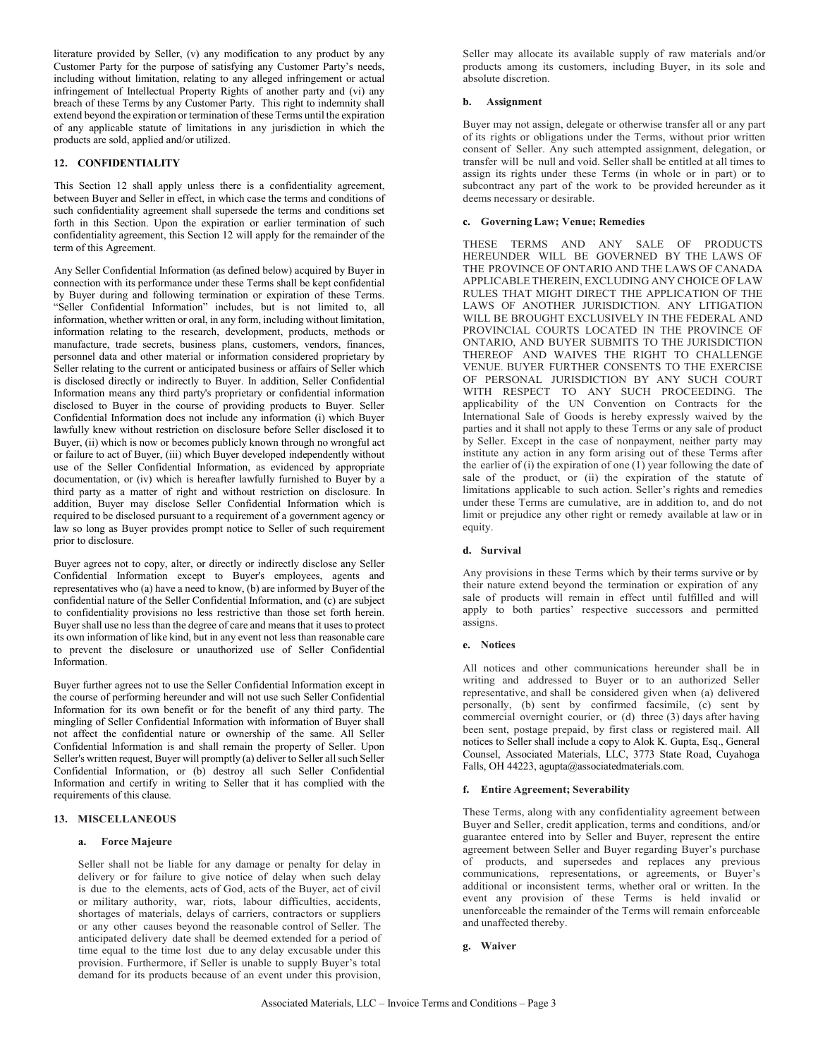literature provided by Seller, (v) any modification to any product by any Customer Party for the purpose of satisfying any Customer Party's needs, including without limitation, relating to any alleged infringement or actual infringement of Intellectual Property Rights of another party and (vi) any breach of these Terms by any Customer Party. This right to indemnity shall extend beyond the expiration or termination of these Terms until the expiration of any applicable statute of limitations in any jurisdiction in which the products are sold, applied and/or utilized.

# **12. CONFIDENTIALITY**

This Section 12 shall apply unless there is a confidentiality agreement, between Buyer and Seller in effect, in which case the terms and conditions of such confidentiality agreement shall supersede the terms and conditions set forth in this Section. Upon the expiration or earlier termination of such confidentiality agreement, this Section 12 will apply for the remainder of the term of this Agreement.

Any Seller Confidential Information (as defined below) acquired by Buyer in connection with its performance under these Terms shall be kept confidential by Buyer during and following termination or expiration of these Terms. "Seller Confidential Information" includes, but is not limited to, all information, whether written or oral, in any form, including without limitation, information relating to the research, development, products, methods or manufacture, trade secrets, business plans, customers, vendors, finances, personnel data and other material or information considered proprietary by Seller relating to the current or anticipated business or affairs of Seller which is disclosed directly or indirectly to Buyer. In addition, Seller Confidential Information means any third party's proprietary or confidential information disclosed to Buyer in the course of providing products to Buyer. Seller Confidential Information does not include any information (i) which Buyer lawfully knew without restriction on disclosure before Seller disclosed it to Buyer, (ii) which is now or becomes publicly known through no wrongful act or failure to act of Buyer, (iii) which Buyer developed independently without use of the Seller Confidential Information, as evidenced by appropriate documentation, or (iv) which is hereafter lawfully furnished to Buyer by a third party as a matter of right and without restriction on disclosure. In addition, Buyer may disclose Seller Confidential Information which is required to be disclosed pursuant to a requirement of a government agency or law so long as Buyer provides prompt notice to Seller of such requirement prior to disclosure.

Buyer agrees not to copy, alter, or directly or indirectly disclose any Seller Confidential Information except to Buyer's employees, agents and representatives who (a) have a need to know, (b) are informed by Buyer of the confidential nature of the Seller Confidential Information, and (c) are subject to confidentiality provisions no less restrictive than those set forth herein. Buyer shall use no less than the degree of care and means that it uses to protect its own information of like kind, but in any event not less than reasonable care to prevent the disclosure or unauthorized use of Seller Confidential Information.

Buyer further agrees not to use the Seller Confidential Information except in the course of performing hereunder and will not use such Seller Confidential Information for its own benefit or for the benefit of any third party. The mingling of Seller Confidential Information with information of Buyer shall not affect the confidential nature or ownership of the same. All Seller Confidential Information is and shall remain the property of Seller. Upon Seller's written request, Buyer will promptly (a) deliver to Seller all such Seller Confidential Information, or (b) destroy all such Seller Confidential Information and certify in writing to Seller that it has complied with the requirements of this clause.

### **13. MISCELLANEOUS**

### **a. Force Majeure**

Seller shall not be liable for any damage or penalty for delay in delivery or for failure to give notice of delay when such delay is due to the elements, acts of God, acts of the Buyer, act of civil or military authority, war, riots, labour difficulties, accidents, shortages of materials, delays of carriers, contractors or suppliers or any other causes beyond the reasonable control of Seller. The anticipated delivery date shall be deemed extended for a period of time equal to the time lost due to any delay excusable under this provision. Furthermore, if Seller is unable to supply Buyer's total demand for its products because of an event under this provision,

Seller may allocate its available supply of raw materials and/or products among its customers, including Buyer, in its sole and absolute discretion.

### **b. Assignment**

Buyer may not assign, delegate or otherwise transfer all or any part of its rights or obligations under the Terms, without prior written consent of Seller. Any such attempted assignment, delegation, or transfer will be null and void. Seller shall be entitled at all times to assign its rights under these Terms (in whole or in part) or to subcontract any part of the work to be provided hereunder as it deems necessary or desirable.

### **c. Governing Law; Venue; Remedies**

THESE TERMS AND ANY SALE OF PRODUCTS HEREUNDER WILL BE GOVERNED BY THE LAWS OF THE PROVINCE OF ONTARIO AND THE LAWS OF CANADA APPLICABLE THEREIN, EXCLUDING ANY CHOICE OF LAW RULES THAT MIGHT DIRECT THE APPLICATION OF THE LAWS OF ANOTHER JURISDICTION. ANY LITIGATION WILL BE BROUGHT EXCLUSIVELY IN THE FEDERAL AND PROVINCIAL COURTS LOCATED IN THE PROVINCE OF ONTARIO, AND BUYER SUBMITS TO THE JURISDICTION THEREOF AND WAIVES THE RIGHT TO CHALLENGE VENUE. BUYER FURTHER CONSENTS TO THE EXERCISE OF PERSONAL JURISDICTION BY ANY SUCH COURT WITH RESPECT TO ANY SUCH PROCEEDING. The applicability of the UN Convention on Contracts for the International Sale of Goods is hereby expressly waived by the parties and it shall not apply to these Terms or any sale of product by Seller. Except in the case of nonpayment, neither party may institute any action in any form arising out of these Terms after the earlier of (i) the expiration of one  $(1)$  year following the date of sale of the product, or (ii) the expiration of the statute of limitations applicable to such action. Seller's rights and remedies under these Terms are cumulative, are in addition to, and do not limit or prejudice any other right or remedy available at law or in equity.

## **d. Survival**

Any provisions in these Terms which by their terms survive or by their nature extend beyond the termination or expiration of any sale of products will remain in effect until fulfilled and will apply to both parties' respective successors and permitted assigns.

### **e. Notices**

All notices and other communications hereunder shall be in writing and addressed to Buyer or to an authorized Seller representative, and shall be considered given when (a) delivered personally, (b) sent by confirmed facsimile, (c) sent by commercial overnight courier, or (d) three (3) days after having been sent, postage prepaid, by first class or registered mail. All notices to Seller shall include a copy to Alok K. Gupta, Esq., General Counsel, Associated Materials, LLC, 3773 State Road, Cuyahoga Falls, OH 44223, agupta@associatedmaterials.com.

# **f. Entire Agreement; Severability**

These Terms, along with any confidentiality agreement between Buyer and Seller, credit application, terms and conditions, and/or guarantee entered into by Seller and Buyer, represent the entire agreement between Seller and Buyer regarding Buyer's purchase of products, and supersedes and replaces any previous communications, representations, or agreements, or Buyer's additional or inconsistent terms, whether oral or written. In the event any provision of these Terms is held invalid or unenforceable the remainder of the Terms will remain enforceable and unaffected thereby.

**g. Waiver**